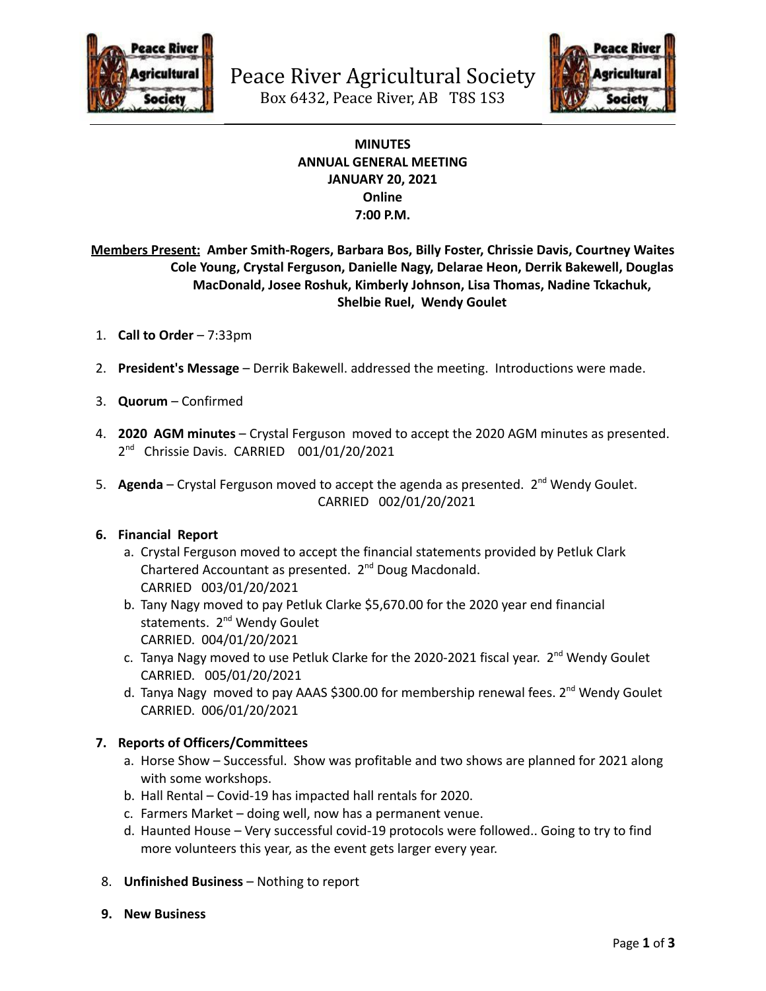



# **MINUTES ANNUAL GENERAL MEETING JANUARY 20, 2021 Online 7:00 P.M.**

**Members Present: Amber Smith-Rogers, Barbara Bos, Billy Foster, Chrissie Davis, Courtney Waites Cole Young, Crystal Ferguson, Danielle Nagy, Delarae Heon, Derrik Bakewell, Douglas MacDonald, Josee Roshuk, Kimberly Johnson, Lisa Thomas, Nadine Tckachuk, Shelbie Ruel, Wendy Goulet**

- 1. **Call to Order** 7:33pm
- 2. **President's Message** Derrik Bakewell. addressed the meeting. Introductions were made.
- 3. **Quorum** Confirmed
- 4. **2020 AGM minutes** Crystal Ferguson moved to accept the 2020 AGM minutes as presented. 2<sup>nd</sup> Chrissie Davis. CARRIED 001/01/20/2021
- 5. Agenda Crystal Ferguson moved to accept the agenda as presented. 2<sup>nd</sup> Wendy Goulet. CARRIED 002/01/20/2021

# **6. Financial Report**

- a. Crystal Ferguson moved to accept the financial statements provided by Petluk Clark Chartered Accountant as presented. 2<sup>nd</sup> Doug Macdonald. CARRIED 003/01/20/2021
- b. Tany Nagy moved to pay Petluk Clarke \$5,670.00 for the 2020 year end financial statements. 2<sup>nd</sup> Wendy Goulet CARRIED. 004/01/20/2021
- c. Tanya Nagy moved to use Petluk Clarke for the 2020-2021 fiscal year. 2<sup>nd</sup> Wendy Goulet CARRIED. 005/01/20/2021
- d. Tanya Nagy moved to pay AAAS \$300.00 for membership renewal fees. 2<sup>nd</sup> Wendy Goulet CARRIED. 006/01/20/2021

# **7. Reports of Officers/Committees**

- a. Horse Show Successful. Show was profitable and two shows are planned for 2021 along with some workshops.
- b. Hall Rental Covid-19 has impacted hall rentals for 2020.
- c. Farmers Market doing well, now has a permanent venue.
- d. Haunted House Very successful covid-19 protocols were followed.. Going to try to find more volunteers this year, as the event gets larger every year.
- 8. **Unfinished Business** Nothing to report
- **9. New Business**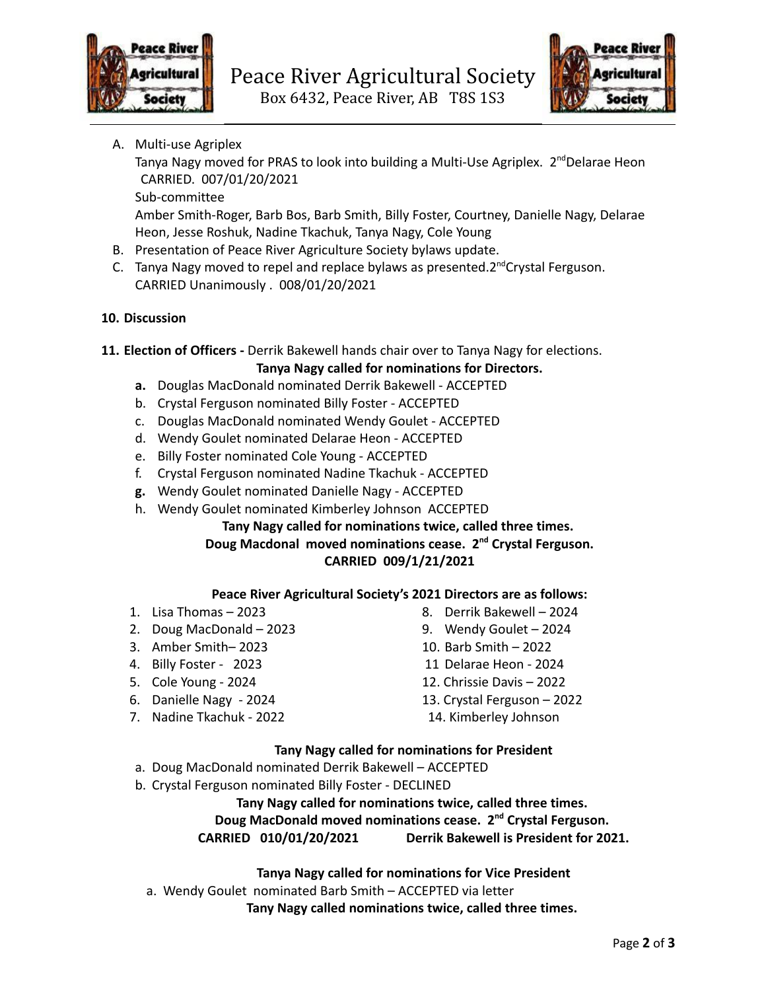



A. Multi-use Agriplex

Tanya Nagy moved for PRAS to look into building a Multi-Use Agriplex. 2<sup>nd</sup>Delarae Heon CARRIED. 007/01/20/2021

Sub-committee

Amber Smith-Roger, Barb Bos, Barb Smith, Billy Foster, Courtney, Danielle Nagy, Delarae Heon, Jesse Roshuk, Nadine Tkachuk, Tanya Nagy, Cole Young

- B. Presentation of Peace River Agriculture Society bylaws update.
- C. Tanya Nagy moved to repel and replace bylaws as presented.2<sup>nd</sup>Crystal Ferguson. CARRIED Unanimously . 008/01/20/2021

# **10. Discussion**

- **11. Election of Officers -** Derrik Bakewell hands chair over to Tanya Nagy for elections.
	- **Tanya Nagy called for nominations for Directors.**
	- **a.** Douglas MacDonald nominated Derrik Bakewell ACCEPTED
	- b. Crystal Ferguson nominated Billy Foster ACCEPTED
	- c. Douglas MacDonald nominated Wendy Goulet ACCEPTED
	- d. Wendy Goulet nominated Delarae Heon ACCEPTED
	- e. Billy Foster nominated Cole Young ACCEPTED
	- f. Crystal Ferguson nominated Nadine Tkachuk ACCEPTED
	- **g.** Wendy Goulet nominated Danielle Nagy ACCEPTED
	- h. Wendy Goulet nominated Kimberley Johnson ACCEPTED

# **Tany Nagy called for nominations twice, called three times. Doug Macdonal moved nominations cease. 2 nd Crystal Ferguson. CARRIED 009/1/21/2021**

# **Peace River Agricultural Society's 2021 Directors are as follows:**

- 
- 2. Doug MacDonald 2023 9. Wendy Goulet 2024
- 3. Amber Smith– 2023 10. Barb Smith 2022
- 
- 
- 
- 7. Nadine Tkachuk 2022 14. Kimberley Johnson
- 1. Lisa Thomas 2023 8. Derrik Bakewell 2024
	-
	-
- 4. Billy Foster 2023 11 Delarae Heon 2024
- 5. Cole Young 2024 12. Chrissie Davis 2022
- 6. Danielle Nagy 2024 13. Crystal Ferguson 2022
	-

# **Tany Nagy called for nominations for President**

- a. Doug MacDonald nominated Derrik Bakewell ACCEPTED
- b. Crystal Ferguson nominated Billy Foster DECLINED

# **Tany Nagy called for nominations twice, called three times.**

# **Doug MacDonald moved nominations cease. 2 nd Crystal Ferguson.**

**CARRIED 010/01/20/2021 Derrik Bakewell is President for 2021.**

# **Tanya Nagy called for nominations for Vice President**

a. Wendy Goulet nominated Barb Smith – ACCEPTED via letter

**Tany Nagy called nominations twice, called three times.**